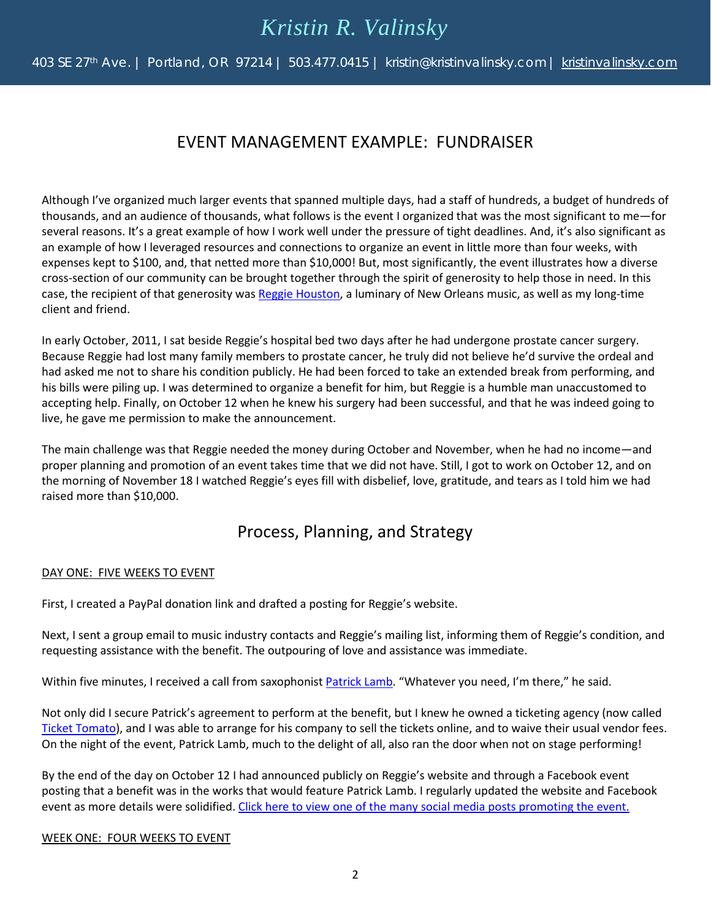# *Kristin R. Valinsky*

403 SE 27<sup>th</sup> Ave. | Portland, OR 97214 | 503.477.0415 | kristin@kristinvalinsky.com | [kristinvalinsky.com](http://www.kristinvalinsky.com/)

### EVENT MANAGEMENT EXAMPLE: FUNDRAISER

Although I've organized much larger events that spanned multiple days, had a staff of hundreds, a budget of hundreds of thousands, and an audience of thousands, what follows is the event I organized that was the most significant to me—for several reasons. It's a great example of how I work well under the pressure of tight deadlines. And, it's also significant as an example of how I leveraged resources and connections to organize an event in little more than four weeks, with expenses kept to \$100, and, that netted more than \$10,000! But, most significantly, the event illustrates how a diverse cross-section of our community can be brought together through the spirit of generosity to help those in need. In this case, the recipient of that generosity wa[s Reggie Houston,](https://reggiehouston.com/) a luminary of New Orleans music, as well as my long-time client and friend.

In early October, 2011, I sat beside Reggie's hospital bed two days after he had undergone prostate cancer surgery. Because Reggie had lost many family members to prostate cancer, he truly did not believe he'd survive the ordeal and had asked me not to share his condition publicly. He had been forced to take an extended break from performing, and his bills were piling up. I was determined to organize a benefit for him, but Reggie is a humble man unaccustomed to accepting help. Finally, on October 12 when he knew his surgery had been successful, and that he was indeed going to live, he gave me permission to make the announcement.

The main challenge was that Reggie needed the money during October and November, when he had no income—and proper planning and promotion of an event takes time that we did not have. Still, I got to work on October 12, and on the morning of November 18 I watched Reggie's eyes fill with disbelief, love, gratitude, and tears as I told him we had raised more than \$10,000.

### Process, Planning, and Strategy

#### DAY ONE: FIVE WEEKS TO EVENT

First, I created a PayPal donation link and drafted a posting for Reggie's website.

Next, I sent a group email to music industry contacts and Reggie's mailing list, informing them of Reggie's condition, and requesting assistance with the benefit. The outpouring of love and assistance was immediate.

Within five minutes, I received a call from saxophonis[t Patrick Lamb.](http://www.patricklamb.com/) "Whatever you need, I'm there," he said.

Not only did I secure Patrick's agreement to perform at the benefit, but I knew he owned a ticketing agency (now called [Ticket Tomato\)](https://www.tickettomato.com/), and I was able to arrange for his company to sell the tickets online, and to waive their usual vendor fees. On the night of the event, Patrick Lamb, much to the delight of all, also ran the door when not on stage performing!

By the end of the day on October 12 I had announced publicly on Reggie's website and through a Facebook event posting that a benefit was in the works that would feature Patrick Lamb. I regularly updated the website and Facebook event as more details were solidified. [Click here to view one of the many social media posts promoting the event.](https://www.facebook.com/notes/reggie-houston/reggie-houston-benefit-update/10150411763904441/?pnref=story)

#### WEEK ONE: FOUR WEEKS TO EVENT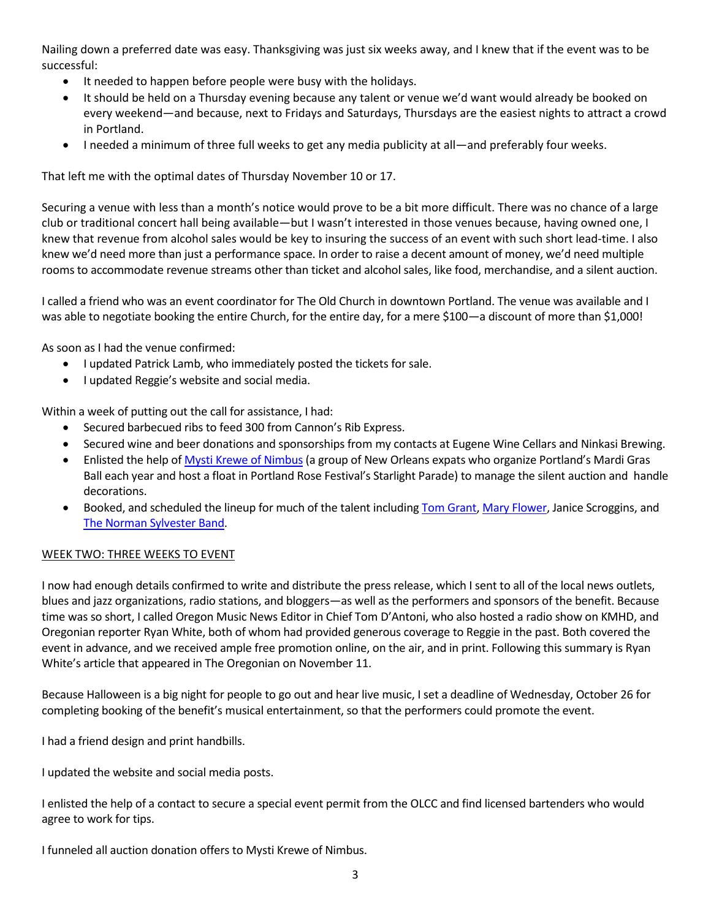Nailing down a preferred date was easy. Thanksgiving was just six weeks away, and I knew that if the event was to be successful:

- It needed to happen before people were busy with the holidays.
- It should be held on a Thursday evening because any talent or venue we'd want would already be booked on every weekend—and because, next to Fridays and Saturdays, Thursdays are the easiest nights to attract a crowd in Portland.
- I needed a minimum of three full weeks to get any media publicity at all—and preferably four weeks.

That left me with the optimal dates of Thursday November 10 or 17.

Securing a venue with less than a month's notice would prove to be a bit more difficult. There was no chance of a large club or traditional concert hall being available—but I wasn't interested in those venues because, having owned one, I knew that revenue from alcohol sales would be key to insuring the success of an event with such short lead-time. I also knew we'd need more than just a performance space. In order to raise a decent amount of money, we'd need multiple rooms to accommodate revenue streams other than ticket and alcohol sales, like food, merchandise, and a silent auction.

I called a friend who was an event coordinator for The Old Church in downtown Portland. The venue was available and I was able to negotiate booking the entire Church, for the entire day, for a mere \$100—a discount of more than \$1,000!

As soon as I had the venue confirmed:

- I updated Patrick Lamb, who immediately posted the tickets for sale.
- I updated Reggie's website and social media.

Within a week of putting out the call for assistance, I had:

- Secured barbecued ribs to feed 300 from Cannon's Rib Express.
- Secured wine and beer donations and sponsorships from my contacts at Eugene Wine Cellars and Ninkasi Brewing.
- Enlisted the help of [Mysti Krewe of Nimbus](http://www.portlandmardigras.com/mysti-krewe-of-nimbus/) (a group of New Orleans expats who organize Portland's Mardi Gras Ball each year and host a float in Portland Rose Festival's Starlight Parade) to manage the silent auction and handle decorations.
- Booked, and scheduled the lineup for much of the talent including **Tom Grant, Mary Flower**, Janice Scroggins, and [The Norman Sylvester Band.](http://normansylvester.com/)

#### WEEK TWO: THREE WEEKS TO EVENT

I now had enough details confirmed to write and distribute the press release, which I sent to all of the local news outlets, blues and jazz organizations, radio stations, and bloggers—as well as the performers and sponsors of the benefit. Because time was so short, I called Oregon Music News Editor in Chief Tom D'Antoni, who also hosted a radio show on KMHD, and Oregonian reporter Ryan White, both of whom had provided generous coverage to Reggie in the past. Both covered the event in advance, and we received ample free promotion online, on the air, and in print. Following this summary is Ryan White's article that appeared in The Oregonian on November 11.

Because Halloween is a big night for people to go out and hear live music, I set a deadline of Wednesday, October 26 for completing booking of the benefit's musical entertainment, so that the performers could promote the event.

I had a friend design and print handbills.

I updated the website and social media posts.

I enlisted the help of a contact to secure a special event permit from the OLCC and find licensed bartenders who would agree to work for tips.

I funneled all auction donation offers to Mysti Krewe of Nimbus.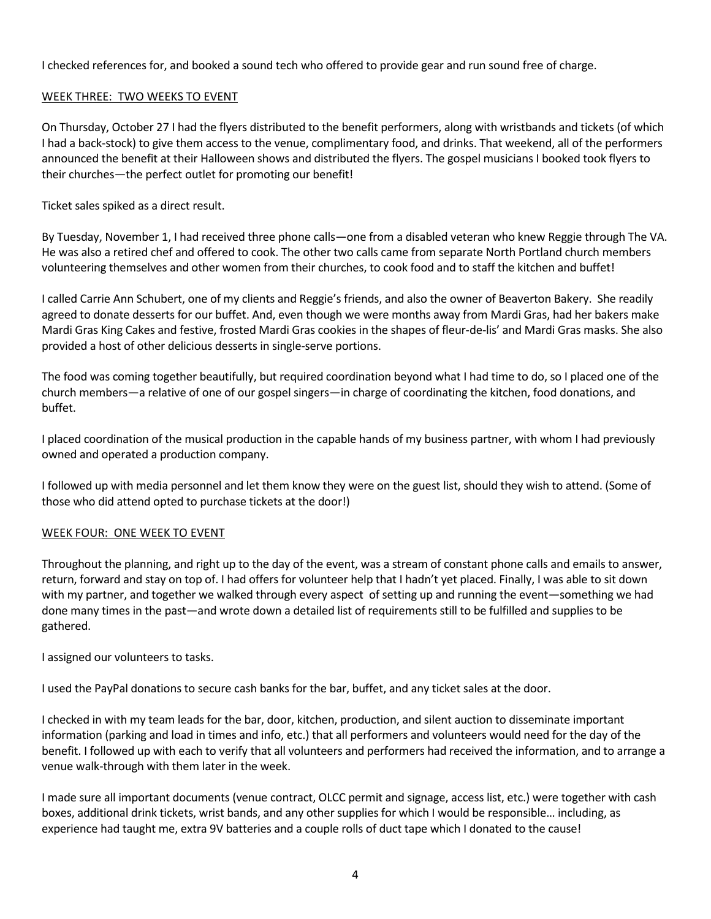I checked references for, and booked a sound tech who offered to provide gear and run sound free of charge.

#### WEEK THREE: TWO WEEKS TO EVENT

On Thursday, October 27 I had the flyers distributed to the benefit performers, along with wristbands and tickets (of which I had a back-stock) to give them access to the venue, complimentary food, and drinks. That weekend, all of the performers announced the benefit at their Halloween shows and distributed the flyers. The gospel musicians I booked took flyers to their churches—the perfect outlet for promoting our benefit!

Ticket sales spiked as a direct result.

By Tuesday, November 1, I had received three phone calls—one from a disabled veteran who knew Reggie through The VA. He was also a retired chef and offered to cook. The other two calls came from separate North Portland church members volunteering themselves and other women from their churches, to cook food and to staff the kitchen and buffet!

I called Carrie Ann Schubert, one of my clients and Reggie's friends, and also the owner of Beaverton Bakery. She readily agreed to donate desserts for our buffet. And, even though we were months away from Mardi Gras, had her bakers make Mardi Gras King Cakes and festive, frosted Mardi Gras cookies in the shapes of fleur-de-lis' and Mardi Gras masks. She also provided a host of other delicious desserts in single-serve portions.

The food was coming together beautifully, but required coordination beyond what I had time to do, so I placed one of the church members—a relative of one of our gospel singers—in charge of coordinating the kitchen, food donations, and buffet.

I placed coordination of the musical production in the capable hands of my business partner, with whom I had previously owned and operated a production company.

I followed up with media personnel and let them know they were on the guest list, should they wish to attend. (Some of those who did attend opted to purchase tickets at the door!)

#### WEEK FOUR: ONE WEEK TO EVENT

Throughout the planning, and right up to the day of the event, was a stream of constant phone calls and emails to answer, return, forward and stay on top of. I had offers for volunteer help that I hadn't yet placed. Finally, I was able to sit down with my partner, and together we walked through every aspect of setting up and running the event—something we had done many times in the past—and wrote down a detailed list of requirements still to be fulfilled and supplies to be gathered.

I assigned our volunteers to tasks.

I used the PayPal donations to secure cash banks for the bar, buffet, and any ticket sales at the door.

I checked in with my team leads for the bar, door, kitchen, production, and silent auction to disseminate important information (parking and load in times and info, etc.) that all performers and volunteers would need for the day of the benefit. I followed up with each to verify that all volunteers and performers had received the information, and to arrange a venue walk-through with them later in the week.

I made sure all important documents (venue contract, OLCC permit and signage, access list, etc.) were together with cash boxes, additional drink tickets, wrist bands, and any other supplies for which I would be responsible… including, as experience had taught me, extra 9V batteries and a couple rolls of duct tape which I donated to the cause!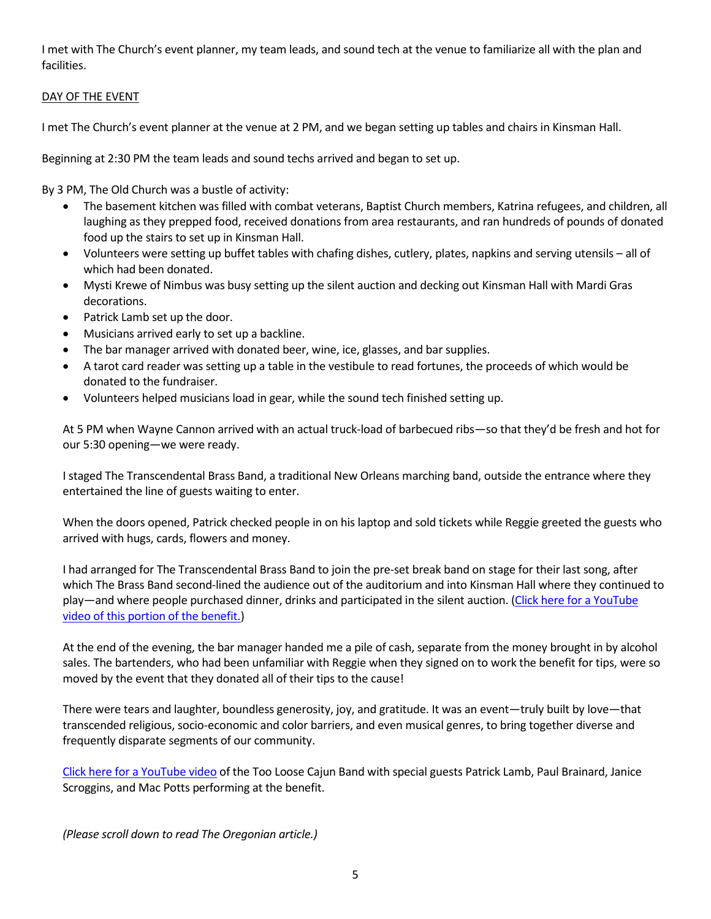I met with The Church's event planner, my team leads, and sound tech at the venue to familiarize all with the plan and facilities.

#### DAY OF THE EVENT

I met The Church's event planner at the venue at 2 PM, and we began setting up tables and chairs in Kinsman Hall.

Beginning at 2:30 PM the team leads and sound techs arrived and began to set up.

By 3 PM, The Old Church was a bustle of activity:

- The basement kitchen was filled with combat veterans, Baptist Church members, Katrina refugees, and children, all laughing as they prepped food, received donations from area restaurants, and ran hundreds of pounds of donated food up the stairs to set up in Kinsman Hall.
- Volunteers were setting up buffet tables with chafing dishes, cutlery, plates, napkins and serving utensils all of which had been donated.
- Mysti Krewe of Nimbus was busy setting up the silent auction and decking out Kinsman Hall with Mardi Gras decorations.
- Patrick Lamb set up the door.
- Musicians arrived early to set up a backline.
- The bar manager arrived with donated beer, wine, ice, glasses, and bar supplies.
- A tarot card reader was setting up a table in the vestibule to read fortunes, the proceeds of which would be donated to the fundraiser.
- Volunteers helped musicians load in gear, while the sound tech finished setting up.

At 5 PM when Wayne Cannon arrived with an actual truck-load of barbecued ribs—so that they'd be fresh and hot for our 5:30 opening—we were ready.

I staged The Transcendental Brass Band, a traditional New Orleans marching band, outside the entrance where they entertained the line of guests waiting to enter.

When the doors opened, Patrick checked people in on his laptop and sold tickets while Reggie greeted the guests who arrived with hugs, cards, flowers and money.

I had arranged for The Transcendental Brass Band to join the pre-set break band on stage for their last song, after which The Brass Band second-lined the audience out of the auditorium and into Kinsman Hall where they continued to play—and where people purchased dinner, drinks and participated in the silent auction. [\(Click here for a YouTube](https://www.youtube.com/watch?v=EtzoM3q4DWA)  [video of this portion of the benefit.\)](https://www.youtube.com/watch?v=EtzoM3q4DWA)

At the end of the evening, the bar manager handed me a pile of cash, separate from the money brought in by alcohol sales. The bartenders, who had been unfamiliar with Reggie when they signed on to work the benefit for tips, were so moved by the event that they donated all of their tips to the cause!

There were tears and laughter, boundless generosity, joy, and gratitude. It was an event—truly built by love—that transcended religious, socio-economic and color barriers, and even musical genres, to bring together diverse and frequently disparate segments of our community.

[Click here for a YouTube video](https://www.youtube.com/watch?v=I-WsFCCXkOM) of the Too Loose Cajun Band with special guests Patrick Lamb, Paul Brainard, Janice Scroggins, and Mac Potts performing at the benefit.

*(Please scroll down to read The Oregonian article.)*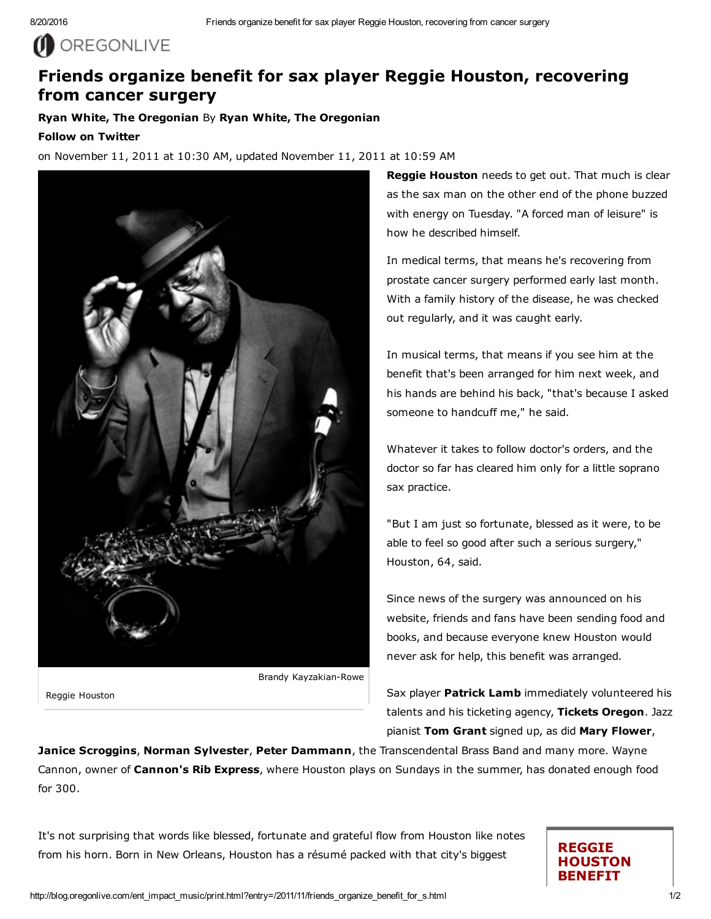# O OREGONLIVE

## Friends organize benefit for sax player Reggie Houston, recovering from cancer surgery

Ryan White, The Oregonian By Ryan White, The Oregonian

#### Follow on Twitter

on November 11, 2011 at 10:30 AM, updated November 11, 2011 at 10:59 AM



Reggie Houston

**Reggie Houston** needs to get out. That much is clear as the sax man on the other end of the phone buzzed with energy on Tuesday. "A forced man of leisure" is how he described himself.

In medical terms, that means he's recovering from prostate cancer surgery performed early last month. With a family history of the disease, he was checked out regularly, and it was caught early.

In musical terms, that means if you see him at the benefit that's been arranged for him next week, and his hands are behind his back, "that's because I asked someone to handcuff me," he said.

Whatever it takes to follow doctor's orders, and the doctor so far has cleared him only for a little soprano sax practice.

"But I am just so fortunate, blessed as it were, to be able to feel so good after such a serious surgery," Houston, 64, said.

Since news of the surgery was announced on his website, friends and fans have been sending food and books, and because everyone knew Houston would never ask for help, this benefit was arranged.

Sax player Patrick Lamb immediately volunteered his talents and his ticketing agency, Tickets Oregon. Jazz pianist Tom Grant signed up, as did Mary Flower,

Janice Scroggins, Norman Sylvester, Peter Dammann, the Transcendental Brass Band and many more. Wayne Cannon, owner of Cannon's Rib Express, where Houston plays on Sundays in the summer, has donated enough food for 300.

It's not surprising that words like blessed, fortunate and grateful flow from Houston like notes from his horn. Born in New Orleans, Houston has a résumé packed with that city's biggest

### REGGIE HOUSTON BENEFIT